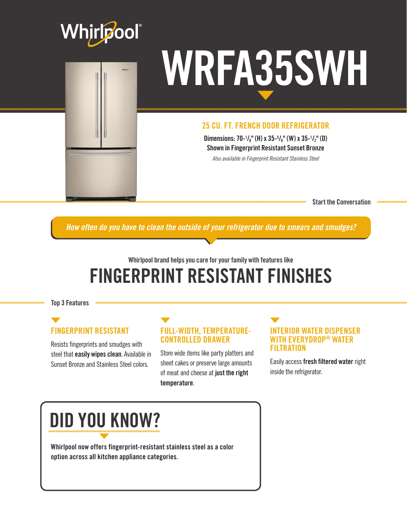

# WRFA35SWH

#### 25 CU. FT. FRENCH DOOR REFRIGERATOR

Dimensions: 70-1/<sub>8</sub>" (H) x 35-<sup>5</sup>/<sub>8</sub>" (W) x 35-1/<sub>2</sub>" (D) Shown in Fingerprint Resistant Sunset Bronze

*Also available in Fingerprint Resistant Stainless Steel*

Start the Conversation

*How often do you have to clean the outside of your refrigerator due to smears and smudges?*

### Whirlpool brand helps you care for your family with features like FINGERPRINT RESISTANT FINISHES

Top 3 Features

#### FINGERPRINT RESISTANT

Resists fingerprints and smudges with steel that **easily wipes clean**. Available in Sunset Bronze and Stainless Steel colors.

#### FULL-WIDTH, TEMPERATURE-CONTROLLED DRAWER

Store wide items like party platters and sheet cakes or preserve large amounts of meat and cheese at just the right temperature.

#### INTERIOR WATER DISPENSER WITH EVERYDROP® WATER **FILTRATION**

Easily access fresh filtered water right inside the refrigerator.

## DID YOU KNOW?

Whirlpool now offers fingerprint-resistant stainless steel as a color option across all kitchen appliance categories.